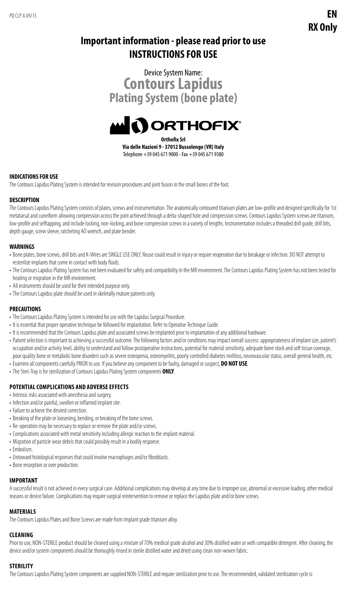# **Important information - please read prior to use INSTRUCTIONS FOR USE**



**Orthofix Srl Via delle Nazioni 9 - 37012 Bussolengo (VR) Italy** Telephone +39 045 671 9000 - Fax +39 045 671 9380

### **INDICATIONS FOR USE**

The Contours Lapidus Plating System is intended for revision procedures and joint fusion in the small bones of the foot.

### **DESCRIPTION**

The Contours Lapidus Plating System consists of plates, screws and instrumentation. The anatomically contoured titanium plates are low-profile and designed specifically for 1st metatarsal and cuneiform allowing compression across the joint achieved through a delta-shaped hole and compression screws. Contours Lapidus System screws are titanium, low-profile and selftapping, and include locking, non-locking, and bone compression screws in a variety of lengths. Instrumentation includes a threaded drill guide, drill bits, depth gauge, screw sleeve, ratcheting AO wrench, and plate bender.

### **WARNINGS**

- Bone plates, bone screws, drill bits and K-Wires are SINGLE USE ONLY. Reuse could result in injury or require reoperation due to breakage or infection. DO NOT attempt to resterilize implants that come in contact with body fluids.
- The Contours Lapidus Plating System has not been evaluated for safety and compatibility in the MR environment. The Contours Lapidus Plating System has not been tested for heating or migration in the MR environment.
- All instruments should be used for their intended purpose only.
- The Contours Lapidus plate should be used in skeletally mature patients only.

### **PRECAUTIONS**

- The Contours Lapidus Plating System is intended for use with the Lapidus Surgical Procedure.
- It is essential that proper operative technique be followed for implantation. Refer to Operative Technique Guide.
- It is recommended that the Contours Lapidus plate and associated screws be implanted prior to implantation of any additional hardware.
- Patient selection is important to achieving a successful outcome. The following factors and/or conditions may impact overall success: appropriateness of implant size, patient's occupation and/or activity level, ability to understand and follow postoperative instructions, potential for material sensitivity, adequate bone stock and soft tissue coverage, poor quality bone or metabolic bone disorders such as severe osteopenia, osteomyelitis, poorly controlled diabetes mellitus, neurovascular status, overall general health, etc.
- Examine all components carefully PRIOR to use. If you believe any component to be faulty, damaged or suspect, **DO NOT USE**.
- The Steri-Tray is for sterilization of Contours Lapidus Plating System components **ONLY**.

### **POTENTIAL COMPLICATIONS AND ADVERSE EFFECTS**

- Intrinsic risks associated with anesthesia and surgery.
- Infection and/or painful, swollen or inflamed implant site.
- Failure to achieve the desired correction.
- Breaking of the plate or loosening, bending, or breaking of the bone screws.
- Re-operation may be necessary to replace or remove the plate and/or screws.
- Complications associated with metal sensitivity including allergic reaction to the implant material.
- Migration of particle wear debris that could possibly result in a bodily response.
- Embolism.
- Untoward histological responses that could involve macrophages and/or fibroblasts.
- Bone resorption or over production.

# **IMPORTANT**

A successful result is not achieved in every surgical case. Additional complications may develop at any time due to improper use, abnormal or excessive loading, other medical reasons or device failure. Complications may require surgical reintervention to remove or replace the Lapidus plate and/or bone screws.

### **MATERIALS**

The Contours Lapidus Plates and Bone Screws are made from implant grade titanium alloy.

### **CLEANING**

Prior to use, NON-STERILE product should be cleaned using a mixture of 70% medical grade alcohol and 30% distilled water or with compatible detergent. After cleaning, the device and/or system components should be thoroughly rinsed in sterile distilled water and dried using clean non-woven fabric.

### **STERILITY**

The Contours Lapidus Plating System components are supplied NON-STERILE and require sterilization prior to use. The recommended, validated sterilization cycle is: